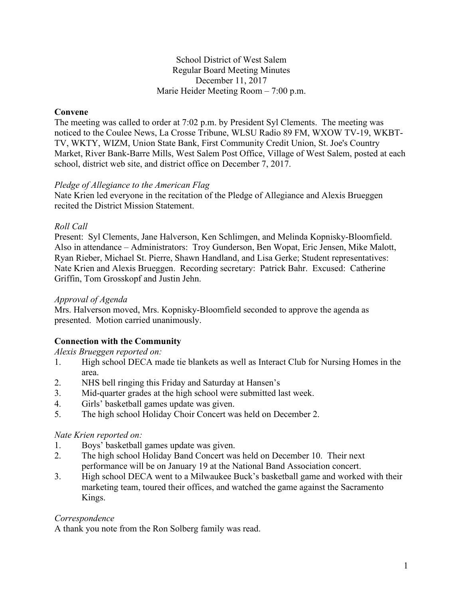### School District of West Salem Regular Board Meeting Minutes December 11, 2017 Marie Heider Meeting Room – 7:00 p.m.

## **Convene**

The meeting was called to order at 7:02 p.m. by President Syl Clements. The meeting was noticed to the Coulee News, La Crosse Tribune, WLSU Radio 89 FM, WXOW TV-19, WKBT-TV, WKTY, WIZM, Union State Bank, First Community Credit Union, St. Joe's Country Market, River Bank-Barre Mills, West Salem Post Office, Village of West Salem, posted at each school, district web site, and district office on December 7, 2017.

## *Pledge of Allegiance to the American Flag*

Nate Krien led everyone in the recitation of the Pledge of Allegiance and Alexis Brueggen recited the District Mission Statement.

## *Roll Call*

Present: Syl Clements, Jane Halverson, Ken Schlimgen, and Melinda Kopnisky-Bloomfield. Also in attendance – Administrators: Troy Gunderson, Ben Wopat, Eric Jensen, Mike Malott, Ryan Rieber, Michael St. Pierre, Shawn Handland, and Lisa Gerke; Student representatives: Nate Krien and Alexis Brueggen. Recording secretary: Patrick Bahr. Excused: Catherine Griffin, Tom Grosskopf and Justin Jehn.

## *Approval of Agenda*

Mrs. Halverson moved, Mrs. Kopnisky-Bloomfield seconded to approve the agenda as presented. Motion carried unanimously.

# **Connection with the Community**

## *Alexis Brueggen reported on:*

- 1. High school DECA made tie blankets as well as Interact Club for Nursing Homes in the area.
- 2. NHS bell ringing this Friday and Saturday at Hansen's
- 3. Mid-quarter grades at the high school were submitted last week.
- 4. Girls' basketball games update was given.
- 5. The high school Holiday Choir Concert was held on December 2.

# *Nate Krien reported on:*

- 1. Boys' basketball games update was given.
- 2. The high school Holiday Band Concert was held on December 10. Their next performance will be on January 19 at the National Band Association concert.
- 3. High school DECA went to a Milwaukee Buck's basketball game and worked with their marketing team, toured their offices, and watched the game against the Sacramento Kings.

## *Correspondence*

A thank you note from the Ron Solberg family was read.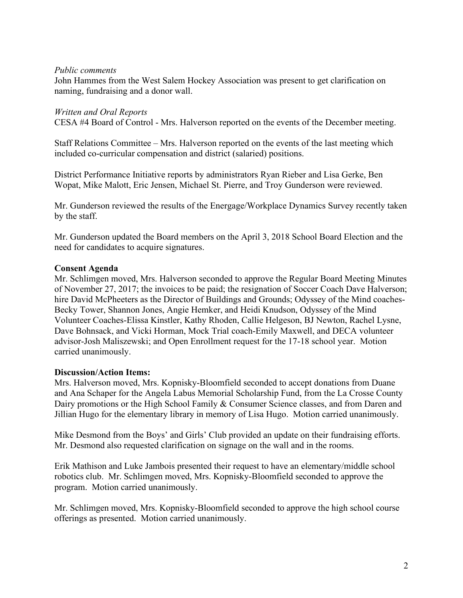#### *Public comments*

John Hammes from the West Salem Hockey Association was present to get clarification on naming, fundraising and a donor wall.

### *Written and Oral Reports*

CESA #4 Board of Control - Mrs. Halverson reported on the events of the December meeting.

Staff Relations Committee – Mrs. Halverson reported on the events of the last meeting which included co-curricular compensation and district (salaried) positions.

District Performance Initiative reports by administrators Ryan Rieber and Lisa Gerke, Ben Wopat, Mike Malott, Eric Jensen, Michael St. Pierre, and Troy Gunderson were reviewed.

Mr. Gunderson reviewed the results of the Energage/Workplace Dynamics Survey recently taken by the staff.

Mr. Gunderson updated the Board members on the April 3, 2018 School Board Election and the need for candidates to acquire signatures.

### **Consent Agenda**

Mr. Schlimgen moved, Mrs. Halverson seconded to approve the Regular Board Meeting Minutes of November 27, 2017; the invoices to be paid; the resignation of Soccer Coach Dave Halverson; hire David McPheeters as the Director of Buildings and Grounds; Odyssey of the Mind coaches-Becky Tower, Shannon Jones, Angie Hemker, and Heidi Knudson, Odyssey of the Mind Volunteer Coaches-Elissa Kinstler, Kathy Rhoden, Callie Helgeson, BJ Newton, Rachel Lysne, Dave Bohnsack, and Vicki Horman, Mock Trial coach-Emily Maxwell, and DECA volunteer advisor-Josh Maliszewski; and Open Enrollment request for the 17-18 school year. Motion carried unanimously.

### **Discussion/Action Items:**

Mrs. Halverson moved, Mrs. Kopnisky-Bloomfield seconded to accept donations from Duane and Ana Schaper for the Angela Labus Memorial Scholarship Fund, from the La Crosse County Dairy promotions or the High School Family & Consumer Science classes, and from Daren and Jillian Hugo for the elementary library in memory of Lisa Hugo. Motion carried unanimously.

Mike Desmond from the Boys' and Girls' Club provided an update on their fundraising efforts. Mr. Desmond also requested clarification on signage on the wall and in the rooms.

Erik Mathison and Luke Jambois presented their request to have an elementary/middle school robotics club. Mr. Schlimgen moved, Mrs. Kopnisky-Bloomfield seconded to approve the program. Motion carried unanimously.

Mr. Schlimgen moved, Mrs. Kopnisky-Bloomfield seconded to approve the high school course offerings as presented. Motion carried unanimously.